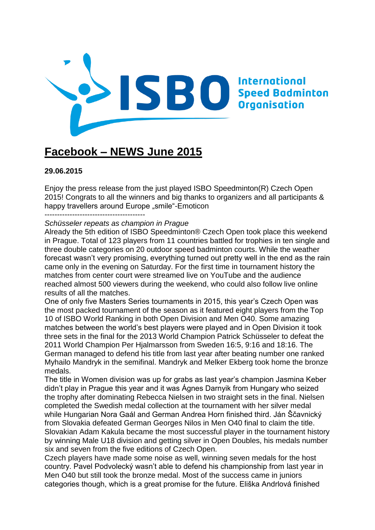

# **Facebook – NEWS June 2015**

# **29.06.2015**

Enjoy the press release from the just played ISBO Speedminton(R) Czech Open 2015! Congrats to all the winners and big thanks to organizers and all participants & happy travellers around Europe "smile"-Emoticon

#### *Schüsseler repeats as champion in Prague*

Already the 5th edition of ISBO Speedminton® Czech Open took place this weekend in Prague. Total of 123 players from 11 countries battled for trophies in ten single and three double categories on 20 outdoor speed badminton courts. While the weather forecast wasn't very promising, everything turned out pretty well in the end as the rain came only in the evening on Saturday. For the first time in tournament history the matches from center court were streamed live on YouTube and the audience reached almost 500 viewers during the weekend, who could also follow live online results of all the matches.

One of only five Masters Series tournaments in 2015, this year's Czech Open was the most packed tournament of the season as it featured eight players from the Top 10 of ISBO World Ranking in both Open Division and Men O40. Some amazing matches between the world's best players were played and in Open Division it took three sets in the final for the 2013 World Champion Patrick Schüsseler to defeat the 2011 World Champion Per Hjalmarsson from Sweden 16:5, 9:16 and 18:16. The German managed to defend his title from last year after beating number one ranked Myhailo Mandryk in the semifinal. Mandryk and Melker Ekberg took home the bronze medals.

The title in Women division was up for grabs as last year's champion Jasmina Keber didn't play in Prague this year and it was Ágnes Darnyik from Hungary who seized the trophy after dominating Rebecca Nielsen in two straight sets in the final. Nielsen completed the Swedish medal collection at the tournament with her silver medal while Hungarian Nora Gaál and German Andrea Horn finished third. Ján Ščavnický from Slovakia defeated German Georges Nilos in Men O40 final to claim the title. Slovakian Adam Kakula became the most successful player in the tournament history by winning Male U18 division and getting silver in Open Doubles, his medals number six and seven from the five editions of Czech Open.

Czech players have made some noise as well, winning seven medals for the host country. Pavel Podvolecký wasn't able to defend his championship from last year in Men O40 but still took the bronze medal. Most of the success came in juniors categories though, which is a great promise for the future. Eliška Andrlová finished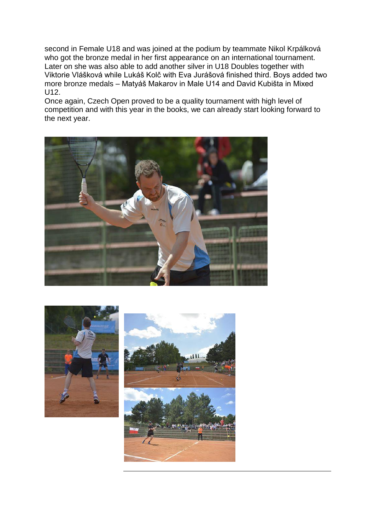second in Female U18 and was joined at the podium by teammate Nikol Krpálková who got the bronze medal in her first appearance on an international tournament. Later on she was also able to add another silver in U18 Doubles together with Viktorie Vlášková while Lukáš Kolč with Eva Jurášová finished third. Boys added two more bronze medals – Matyáš Makarov in Male U14 and David Kubišta in Mixed U12.

Once again, Czech Open proved to be a quality tournament with high level of competition and with this year in the books, we can already start looking forward to the next year.





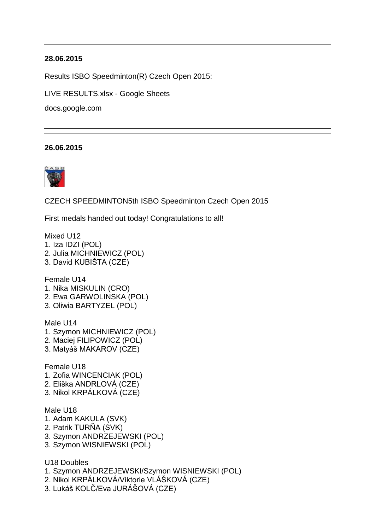Results ISBO Speedminton(R) Czech Open 2015:

[LIVE RESULTS.xlsx -](https://www.facebook.com/l.php?u=https%3A%2F%2Fdocs.google.com%2Fspreadsheets%2Fd%2F1EYNomFxgmwLbbx8a0qqblXIJjYjU1p0dLKlj1oUDQ8g%2Fedit%3Fusp%3Dsharing&h=XAQHHBZpD&s=1) Google Sheets

docs.google.com

## **26.06.2015**



[CZECH SPEEDMINTON](https://www.facebook.com/CzechSpeedminton?fref=nf)[5th ISBO Speedminton Czech Open 2015](https://www.facebook.com/events/1562433747370279/permalink/1604803893133264/?ref=3&ref_newsfeed_story_type=regular&action_history=null)

First medals handed out today! Congratulations to all!

Mixed U12

- 1. Iza IDZI (POL)
- 2. Julia MICHNIEWICZ (POL)
- 3. David KUBIŠTA (CZE)

Female U14

- 1. Nika MISKULIN (CRO)
- 2. Ewa GARWOLINSKA (POL)
- 3. Oliwia BARTYZEL (POL)

Male U14

- 1. Szymon MICHNIEWICZ (POL)
- 2. Maciej FILIPOWICZ (POL)
- 3. Matyáš MAKAROV (CZE)

Female U18

- 1. Zofia WINCENCIAK (POL)
- 2. Eliška ANDRLOVÁ (CZE)
- 3. Nikol KRPÁLKOVÁ (CZE)

Male U18

- 1. Adam KAKULA (SVK)
- 2. Patrik TURŇA (SVK)
- 3. Szymon ANDRZEJEWSKI (POL)
- 3. Szymon WISNIEWSKI (POL)

U18 Doubles

- 1. Szymon ANDRZEJEWSKI/Szymon WISNIEWSKI (POL)
- 2. Nikol KRPÁLKOVÁ/Viktorie VLÁŠKOVÁ (CZE)
- 3. Lukáš KOLČ/Eva JURÁŠOVÁ (CZE)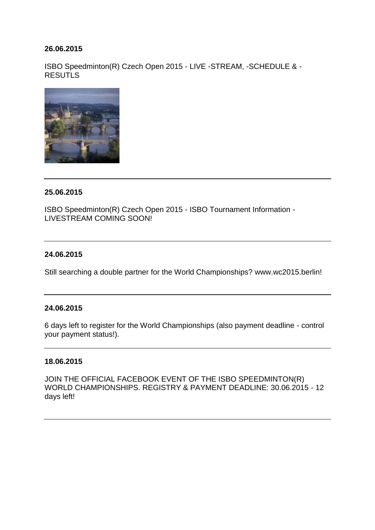ISBO Speedminton(R) Czech Open 2015 - LIVE -STREAM, -SCHEDULE & - **RE[S](http://www.isbo-speedbadminton.com/?id=270)UTLS** 



# **25.06.2015**

ISBO Speedminton(R) Czech Open 2015 - ISBO Tournament Information - LIVESTREAM COMING SOON!

# **24.06.2015**

Still searching a double partner for the World Championships? [www.wc2015.berlin!](http://www.wc2015.berlin/)

# **24.06.2015**

6 days left to register for the World Championships (also payment deadline - control your payment status!).

## **18.06.2015**

JOIN THE OFFICIAL FACEBOOK EVENT OF THE ISBO SPEEDMINTON(R) WORLD CHAMPIONSHIPS. REGISTRY & PAYMENT DEADLINE: 30.06.2015 - 12 days left!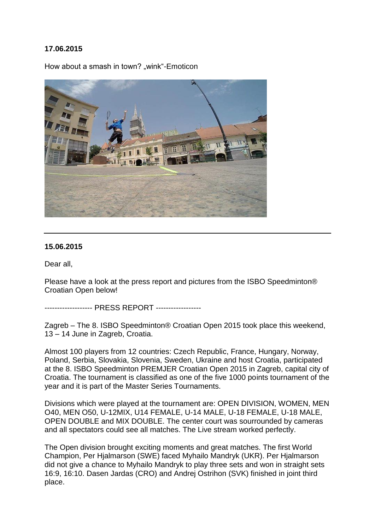How about a smash in town? .wink "-Emoticon"



## **15.06.2015**

Dear all,

Please have a look at the press report and pictures from the ISBO Speedminton® Croatian Open below!

------------------- PRESS REPORT ------------------

Zagreb – The 8. ISBO Speedminton® Croatian Open 2015 took place this weekend, 13 – 14 June in Zagreb, Croatia.

Almost 100 players from 12 countries: Czech Republic, France, Hungary, Norway, Poland, Serbia, Slovakia, Slovenia, Sweden, Ukraine and host Croatia, participated at the 8. ISBO Speedminton PREMJER Croatian Open 2015 in Zagreb, capital city of Croatia. The tournament is classified as one of the five 1000 points tournament of the year and it is part of the Master Series Tournaments.

Divisions which were played at the tournament are: OPEN DIVISION, WOMEN, MEN O40, MEN O50, U-12MIX, U14 FEMALE, U-14 MALE, U-18 FEMALE, U-18 MALE, OPEN DOUBLE and MIX DOUBLE. The center court was sourrounded by cameras and all spectators could see all matches. The Live stream worked perfectly.

The Open division brought exciting moments and great matches. The first World Champion, Per Hjalmarson (SWE) faced Myhailo Mandryk (UKR). Per Hjalmarson did not give a chance to Myhailo Mandryk to play three sets and won in straight sets 16:9, 16:10. Dasen Jardas (CRO) and Andrej Ostrihon (SVK) finished in joint third place.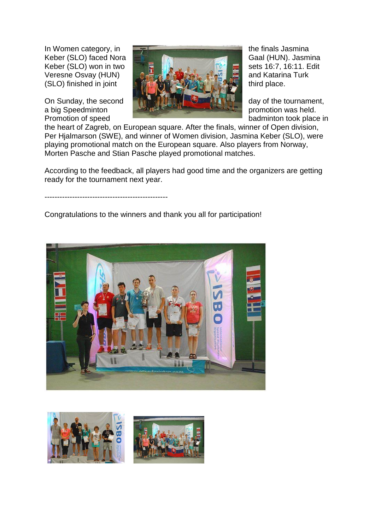

the heart of Zagreb, on European square. After the finals, winner of Open division, Per Hjalmarson (SWE), and winner of Women division, Jasmina Keber (SLO), were playing promotional match on the European square. Also players from Norway, Morten Pasche and Stian Pasche played promotional matches.

According to the feedback, all players had good time and the organizers are getting ready for the tournament next year.

-------------------------------------------------

Congratulations to the winners and thank you all for participation!



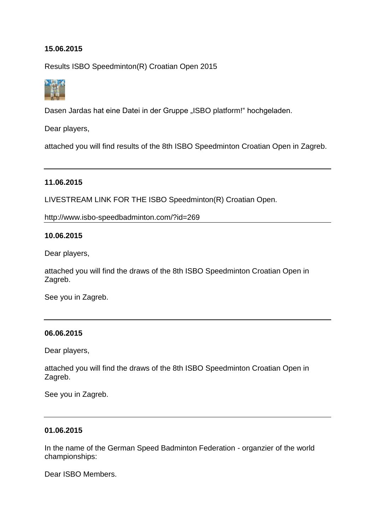Results ISBO Speedminton(R) Croatian Open 2015



[Dasen Jardas](https://www.facebook.com/dasen.jardas) hat eine Datei in der Gruppe ["ISBO platform!"](https://www.facebook.com/groups/196600627192419/) hochgeladen.

Dear players,

attached you will find results of the 8th ISBO Speedminton Croatian Open in Zagreb.

# **11.06.2015**

LIVESTREAM LINK FOR THE ISBO Speedminton(R) Croatian Open.

<http://www.isbo-speedbadminton.com/?id=269>

## **10.06.2015**

Dear players,

attached you will find the draws of the 8th ISBO Speedminton Croatian Open in Zagreb.

See you in Zagreb.

## **06.06.2015**

Dear players,

attached you will find the draws of the 8th ISBO Speedminton Croatian Open in Zagreb.

See you in Zagreb.

#### **01.06.2015**

In the name of the German Speed Badminton Federation - organzier of the world championships:

Dear ISBO Members.